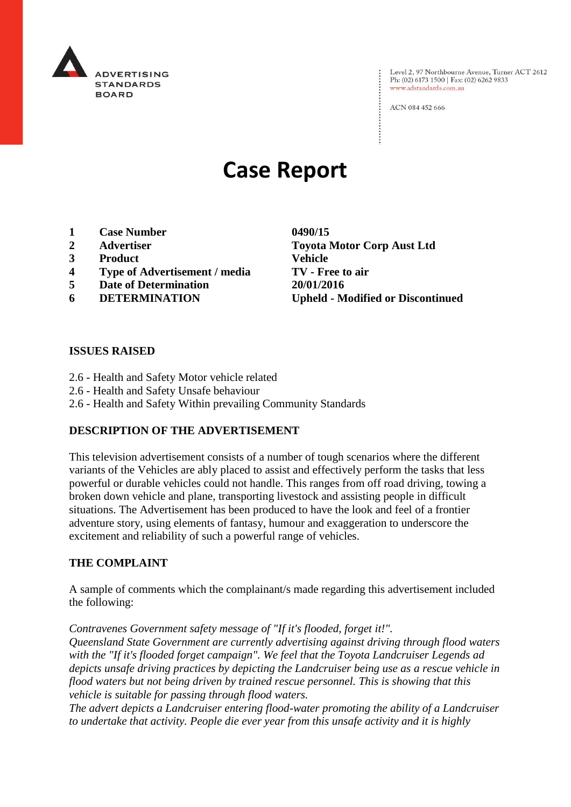

Level 2, 97 Northbourne Avenue, Turner ACT 2612 Ph: (02) 6173 1500 | Fax: (02) 6262 9833 www.adstandards.com.au

ACN 084 452 666

# **Case Report**

- **1 Case Number 0490/15**
- 
- **3 Product Vehicle**
- **4 Type of Advertisement / media TV - Free to air**
- **5 Date of Determination 20/01/2016**
- 

**2 Advertiser Toyota Motor Corp Aust Ltd 6 DETERMINATION Upheld - Modified or Discontinued**

#### **ISSUES RAISED**

- 2.6 Health and Safety Motor vehicle related
- 2.6 Health and Safety Unsafe behaviour
- 2.6 Health and Safety Within prevailing Community Standards

## **DESCRIPTION OF THE ADVERTISEMENT**

This television advertisement consists of a number of tough scenarios where the different variants of the Vehicles are ably placed to assist and effectively perform the tasks that less powerful or durable vehicles could not handle. This ranges from off road driving, towing a broken down vehicle and plane, transporting livestock and assisting people in difficult situations. The Advertisement has been produced to have the look and feel of a frontier adventure story, using elements of fantasy, humour and exaggeration to underscore the excitement and reliability of such a powerful range of vehicles.

## **THE COMPLAINT**

A sample of comments which the complainant/s made regarding this advertisement included the following:

*Contravenes Government safety message of "If it's flooded, forget it!". Queensland State Government are currently advertising against driving through flood waters with the "If it's flooded forget campaign". We feel that the Toyota Landcruiser Legends ad depicts unsafe driving practices by depicting the Landcruiser being use as a rescue vehicle in flood waters but not being driven by trained rescue personnel. This is showing that this vehicle is suitable for passing through flood waters.*

*The advert depicts a Landcruiser entering flood-water promoting the ability of a Landcruiser to undertake that activity. People die ever year from this unsafe activity and it is highly*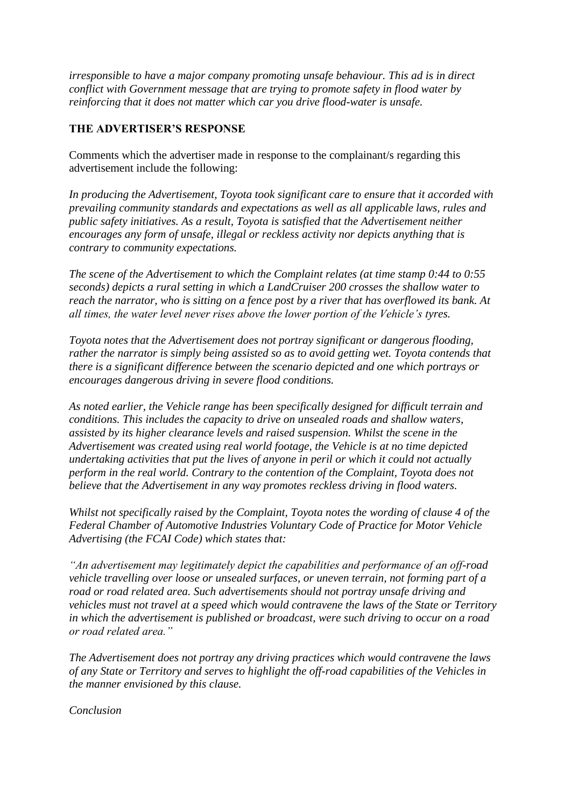*irresponsible to have a major company promoting unsafe behaviour. This ad is in direct conflict with Government message that are trying to promote safety in flood water by reinforcing that it does not matter which car you drive flood-water is unsafe.*

# **THE ADVERTISER'S RESPONSE**

Comments which the advertiser made in response to the complainant/s regarding this advertisement include the following:

*In producing the Advertisement, Toyota took significant care to ensure that it accorded with prevailing community standards and expectations as well as all applicable laws, rules and public safety initiatives. As a result, Toyota is satisfied that the Advertisement neither encourages any form of unsafe, illegal or reckless activity nor depicts anything that is contrary to community expectations.* 

*The scene of the Advertisement to which the Complaint relates (at time stamp 0:44 to 0:55 seconds) depicts a rural setting in which a LandCruiser 200 crosses the shallow water to reach the narrator, who is sitting on a fence post by a river that has overflowed its bank. At all times, the water level never rises above the lower portion of the Vehicle's tyres.* 

*Toyota notes that the Advertisement does not portray significant or dangerous flooding, rather the narrator is simply being assisted so as to avoid getting wet. Toyota contends that there is a significant difference between the scenario depicted and one which portrays or encourages dangerous driving in severe flood conditions.* 

*As noted earlier, the Vehicle range has been specifically designed for difficult terrain and conditions. This includes the capacity to drive on unsealed roads and shallow waters, assisted by its higher clearance levels and raised suspension. Whilst the scene in the Advertisement was created using real world footage, the Vehicle is at no time depicted undertaking activities that put the lives of anyone in peril or which it could not actually perform in the real world. Contrary to the contention of the Complaint, Toyota does not believe that the Advertisement in any way promotes reckless driving in flood waters.*

*Whilst not specifically raised by the Complaint, Toyota notes the wording of clause 4 of the Federal Chamber of Automotive Industries Voluntary Code of Practice for Motor Vehicle Advertising (the FCAI Code) which states that:*

*"An advertisement may legitimately depict the capabilities and performance of an off-road vehicle travelling over loose or unsealed surfaces, or uneven terrain, not forming part of a road or road related area. Such advertisements should not portray unsafe driving and vehicles must not travel at a speed which would contravene the laws of the State or Territory in which the advertisement is published or broadcast, were such driving to occur on a road or road related area."*

*The Advertisement does not portray any driving practices which would contravene the laws of any State or Territory and serves to highlight the off-road capabilities of the Vehicles in the manner envisioned by this clause.* 

*Conclusion*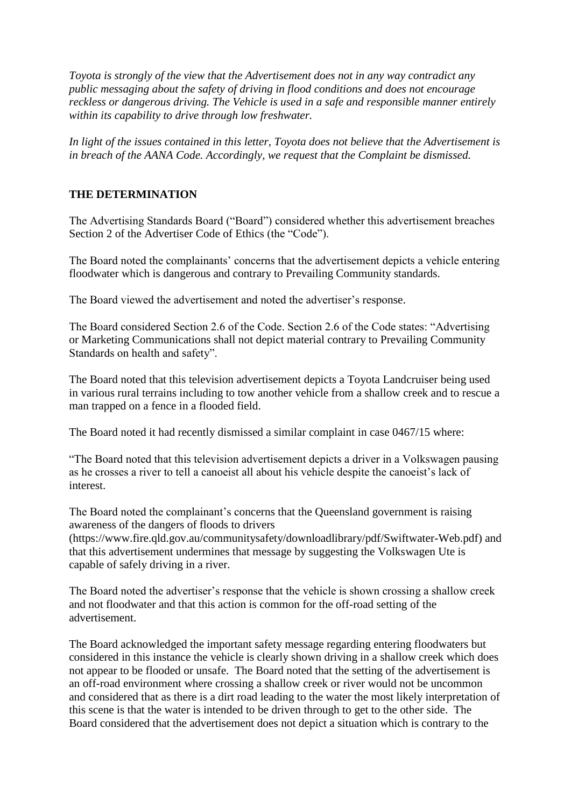*Toyota is strongly of the view that the Advertisement does not in any way contradict any public messaging about the safety of driving in flood conditions and does not encourage reckless or dangerous driving. The Vehicle is used in a safe and responsible manner entirely within its capability to drive through low freshwater.* 

*In light of the issues contained in this letter, Toyota does not believe that the Advertisement is in breach of the AANA Code. Accordingly, we request that the Complaint be dismissed.*

## **THE DETERMINATION**

The Advertising Standards Board ("Board") considered whether this advertisement breaches Section 2 of the Advertiser Code of Ethics (the "Code").

The Board noted the complainants' concerns that the advertisement depicts a vehicle entering floodwater which is dangerous and contrary to Prevailing Community standards.

The Board viewed the advertisement and noted the advertiser's response.

The Board considered Section 2.6 of the Code. Section 2.6 of the Code states: "Advertising or Marketing Communications shall not depict material contrary to Prevailing Community Standards on health and safety".

The Board noted that this television advertisement depicts a Toyota Landcruiser being used in various rural terrains including to tow another vehicle from a shallow creek and to rescue a man trapped on a fence in a flooded field.

The Board noted it had recently dismissed a similar complaint in case 0467/15 where:

"The Board noted that this television advertisement depicts a driver in a Volkswagen pausing as he crosses a river to tell a canoeist all about his vehicle despite the canoeist's lack of interest.

The Board noted the complainant's concerns that the Queensland government is raising awareness of the dangers of floods to drivers

(https://www.fire.qld.gov.au/communitysafety/downloadlibrary/pdf/Swiftwater-Web.pdf) and that this advertisement undermines that message by suggesting the Volkswagen Ute is capable of safely driving in a river.

The Board noted the advertiser's response that the vehicle is shown crossing a shallow creek and not floodwater and that this action is common for the off-road setting of the advertisement.

The Board acknowledged the important safety message regarding entering floodwaters but considered in this instance the vehicle is clearly shown driving in a shallow creek which does not appear to be flooded or unsafe. The Board noted that the setting of the advertisement is an off-road environment where crossing a shallow creek or river would not be uncommon and considered that as there is a dirt road leading to the water the most likely interpretation of this scene is that the water is intended to be driven through to get to the other side. The Board considered that the advertisement does not depict a situation which is contrary to the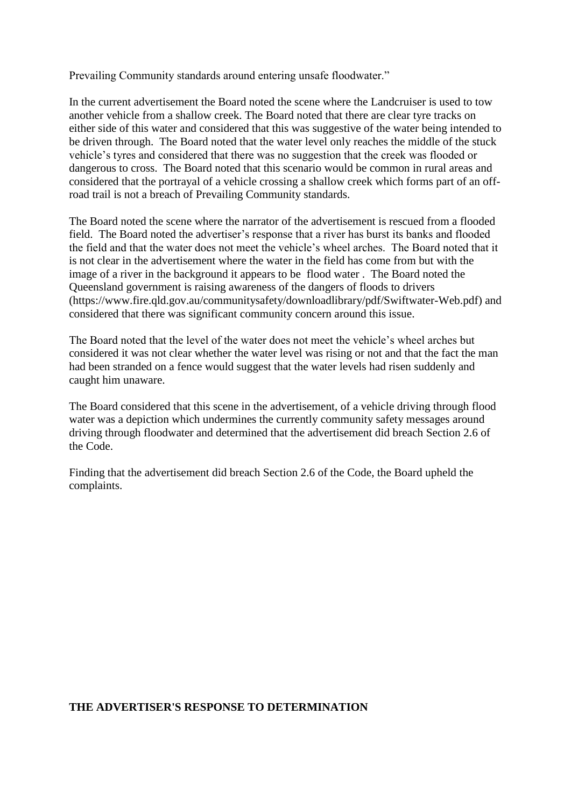Prevailing Community standards around entering unsafe floodwater."

In the current advertisement the Board noted the scene where the Landcruiser is used to tow another vehicle from a shallow creek. The Board noted that there are clear tyre tracks on either side of this water and considered that this was suggestive of the water being intended to be driven through. The Board noted that the water level only reaches the middle of the stuck vehicle's tyres and considered that there was no suggestion that the creek was flooded or dangerous to cross. The Board noted that this scenario would be common in rural areas and considered that the portrayal of a vehicle crossing a shallow creek which forms part of an offroad trail is not a breach of Prevailing Community standards.

The Board noted the scene where the narrator of the advertisement is rescued from a flooded field. The Board noted the advertiser's response that a river has burst its banks and flooded the field and that the water does not meet the vehicle's wheel arches. The Board noted that it is not clear in the advertisement where the water in the field has come from but with the image of a river in the background it appears to be flood water . The Board noted the Queensland government is raising awareness of the dangers of floods to drivers (https://www.fire.qld.gov.au/communitysafety/downloadlibrary/pdf/Swiftwater-Web.pdf) and considered that there was significant community concern around this issue.

The Board noted that the level of the water does not meet the vehicle's wheel arches but considered it was not clear whether the water level was rising or not and that the fact the man had been stranded on a fence would suggest that the water levels had risen suddenly and caught him unaware.

The Board considered that this scene in the advertisement, of a vehicle driving through flood water was a depiction which undermines the currently community safety messages around driving through floodwater and determined that the advertisement did breach Section 2.6 of the Code.

Finding that the advertisement did breach Section 2.6 of the Code, the Board upheld the complaints.

#### **THE ADVERTISER'S RESPONSE TO DETERMINATION**